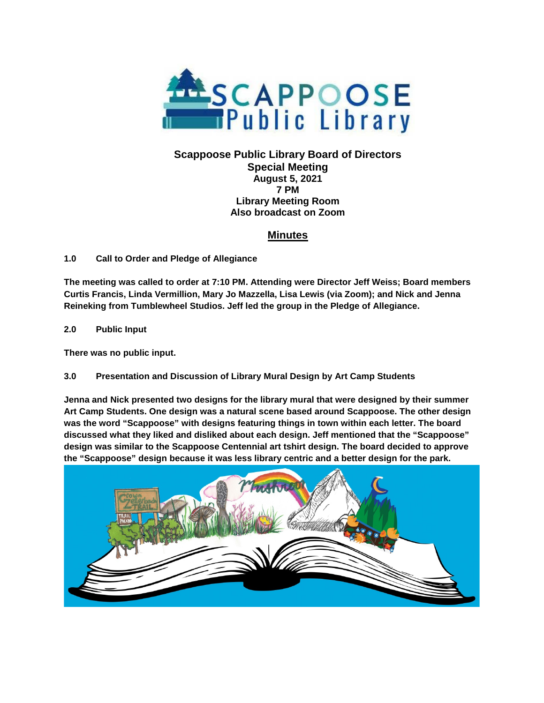

#### **Scappoose Public Library Board of Directors Special Meeting August 5, 2021 7 PM Library Meeting Room Also broadcast on Zoom**

# **Minutes**

### **1.0 Call to Order and Pledge of Allegiance**

**The meeting was called to order at 7:10 PM. Attending were Director Jeff Weiss; Board members Curtis Francis, Linda Vermillion, Mary Jo Mazzella, Lisa Lewis (via Zoom); and Nick and Jenna Reineking from Tumblewheel Studios. Jeff led the group in the Pledge of Allegiance.**

**2.0 Public Input**

**There was no public input.**

### **3.0 Presentation and Discussion of Library Mural Design by Art Camp Students**

**Jenna and Nick presented two designs for the library mural that were designed by their summer Art Camp Students. One design was a natural scene based around Scappoose. The other design was the word "Scappoose" with designs featuring things in town within each letter. The board discussed what they liked and disliked about each design. Jeff mentioned that the "Scappoose" design was similar to the Scappoose Centennial art tshirt design. The board decided to approve the "Scappoose" design because it was less library centric and a better design for the park.**